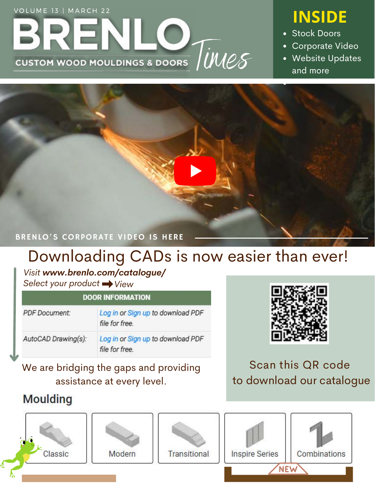# DINEINLY TWEE VOLUME 13 | MARCH 22<br>**INSIDE**

- Stock Doors
- Corporate Video
- Website Updates and more



## Downloading CADs is now easier than ever!

*Visit www.brenlo.com/catalogue/ Select your product*  $\rightarrow$  *View* 

#### **DOOR INFORMATION**

| <b>PDF</b> Document: | Log in or Sign up to download PDF<br>file for free. |
|----------------------|-----------------------------------------------------|
| AutoCAD Drawing(s):  | Log in or Sign up to download PDF<br>file for free. |

### We are bridging the gaps and providing assistance at every level.

### **Moulding**



### Scan this QR code to download our catalogue

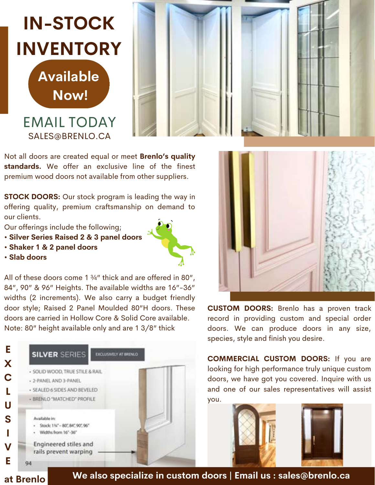# **IN-STOCK INVENTORY**

**Available Now!**

#### EMAIL TODAY SALES@BRENLO.CA



Not all doors are created equal or meet **Brenlo's quality standards.** We offer an exclusive line of the finest premium wood doors not available from other suppliers.

**STOCK DOORS:** Our stock program is leading the way in offering quality, premium craftsmanship on demand to our clients.

Our offerings include the following;

- **Silver Series Raised 2 & 3 panel doors**
- **Shaker 1 & 2 panel doors**



All of these doors come 1 ¾" thick and are offered in 80", 84", 90" & 96" Heights. The available widths are 16"-36" widths (2 increments). We also carry a budget friendly door style; Raised 2 Panel Moulded 80"H doors. These doors are carried in Hollow Core & Solid Core available. Note: 80" height available only and are 1 3/8" thick





**CUSTOM DOORS:** Brenlo has a proven track record in providing custom and special order doors. We can produce doors in any size, species, style and finish you desire.

**COMMERCIAL CUSTOM DOORS:** If you are looking for high performance truly unique custom doors, we have got you covered. Inquire with us and one of our sales representatives will assist you.



**at Brenlo**

**We also specialize in custom doors | Email us : sales@brenlo.ca**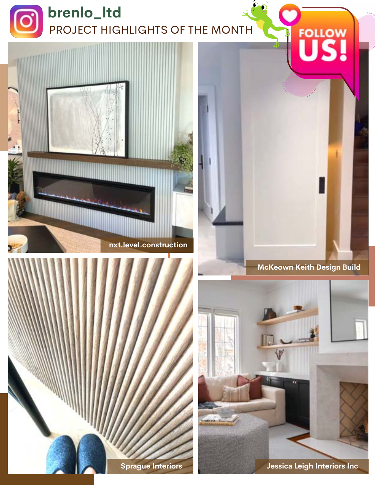







#### **McKeown Keith Design Build**



**Jessica Leigh Interiors Inc**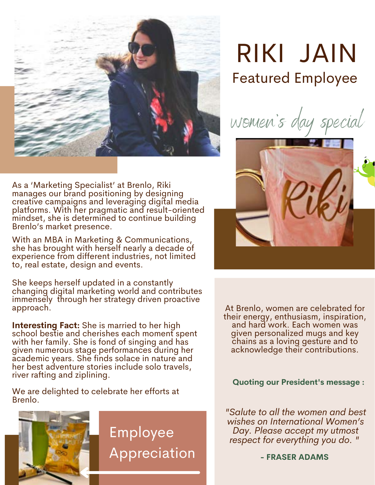

As a 'Marketing Specialist' at Brenlo, Riki manages our brand positioning by designing creative campaigns and leveraging digital media platforms. With her pragmatic and result-oriented mindset, she is determined to continue building Brenlo's market presence.

With an MBA in Marketing & Communications, she has brought with herself nearly a decade of experience from different industries, not limited to, real estate, design and events.

She keeps herself updated in a constantly changing digital marketing world and contributes immensely through her strategy driven proactive approach.

**Interesting Fact:** She is married to her high school bestie and cherishes each moment spent with her family. She is fond of singing and has given numerous stage performances during her academic years. She finds solace in nature and her best adventure stories include solo travels, river rafting and ziplining.

We are delighted to celebrate her efforts at Brenlo.



Employee Appreciation

# RIKI JAIN Featured Employee

women's day special



At Brenlo, women are celebrated for their energy, enthusiasm, inspiration, and hard work. Each women was given personalized mugs and key chains as a loving gesture and to acknowledge their contributions.

#### **Quoting our President's message :**

*"Salute to all the women and best wishes on International Women's Day. Please accept my utmost respect for everything you do. "*

**- FRASER ADAMS**